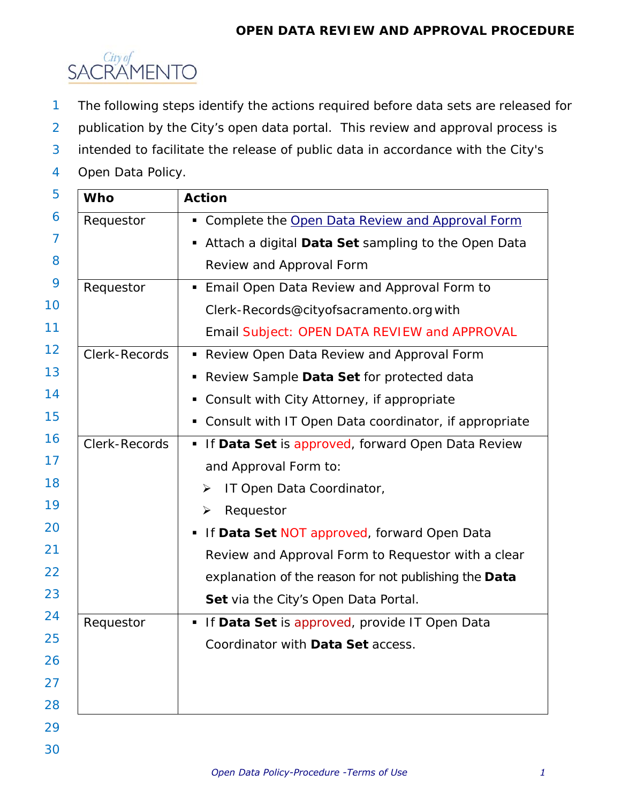# **OPEN DATA REVIEW AND APPROVAL PROCEDURE**



- 1 The following steps identify the actions required before data sets are released for
- 2 publication by the City's open data portal. This review and approval process is
- 3 intended to facilitate the release of public data in accordance with the City's
- 4 Open Data Policy.

| <b>Who</b>    | <b>Action</b>                                              |
|---------------|------------------------------------------------------------|
| Requestor     | Complete the Open Data Review and Approval Form            |
|               | Attach a digital Data Set sampling to the Open Data<br>п   |
|               | <b>Review and Approval Form</b>                            |
| Requestor     | <b>Email Open Data Review and Approval Form to</b>         |
|               | Clerk-Records@cityofsacramento.org with                    |
|               | Email Subject: OPEN DATA REVIEW and APPROVAL               |
| Clerk-Records | • Review Open Data Review and Approval Form                |
|               | Review Sample Data Set for protected data                  |
|               | Consult with City Attorney, if appropriate                 |
|               | Consult with IT Open Data coordinator, if appropriate<br>п |
| Clerk-Records | • If Data Set is approved, forward Open Data Review        |
|               | and Approval Form to:                                      |
|               | IT Open Data Coordinator,<br>≻                             |
|               | Requestor<br>➤                                             |
|               | • If Data Set NOT approved, forward Open Data              |
|               | Review and Approval Form to Requestor with a clear         |
|               | explanation of the reason for not publishing the Data      |
|               | Set via the City's Open Data Portal.                       |
| Requestor     | If Data Set is approved, provide IT Open Data              |
|               | Coordinator with Data Set access.                          |
|               |                                                            |
|               |                                                            |
|               |                                                            |
|               |                                                            |
|               |                                                            |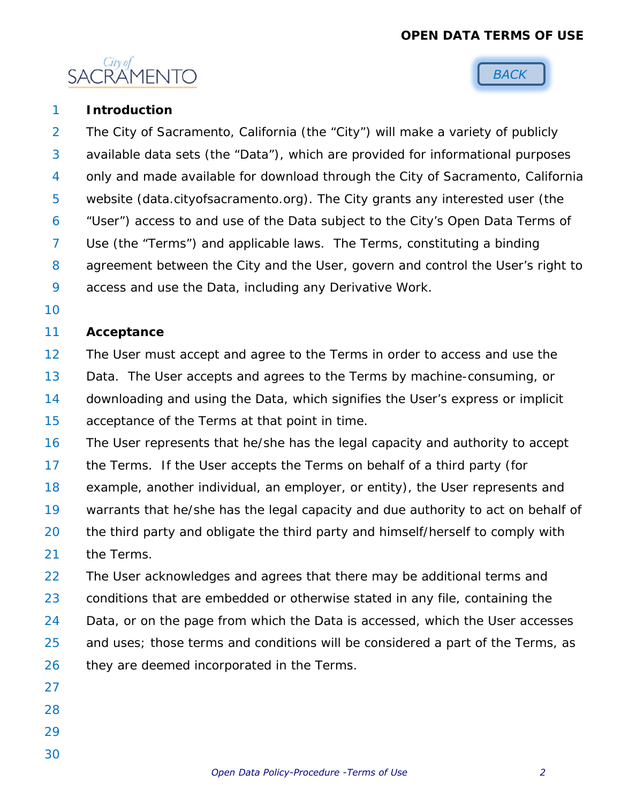# **OPEN DATA TERMS OF USE**





#### 1 **Introduction**

2 3 4 5 6 7 8 9 The City of Sacramento, California (the "City") will make a variety of publicly available data sets (the "Data"), which are provided for informational purposes only and made available for download through the City of Sacramento, California website (data.cityofsacramento.org). The City grants any interested user (the "User") access to and use of the Data subject to the City's Open Data Terms of Use (the "Terms") and applicable laws. The Terms, constituting a binding agreement between the City and the User, govern and control the User's right to access and use the Data, including any Derivative Work.

10

#### 11 **Acceptance**

- 12 13 14 15 The User must accept and agree to the Terms in order to access and use the Data. The User accepts and agrees to the Terms by machine-consuming, or downloading and using the Data, which signifies the User's express or implicit acceptance of the Terms at that point in time.
- 16 17 18 19 20 The User represents that he/she has the legal capacity and authority to accept the Terms. If the User accepts the Terms on behalf of a third party (for example, another individual, an employer, or entity), the User represents and warrants that he/she has the legal capacity and due authority to act on behalf of the third party and obligate the third party and himself/herself to comply with
- 21 the Terms.

22 23 24 25 26 The User acknowledges and agrees that there may be additional terms and conditions that are embedded or otherwise stated in any file, containing the Data, or on the page from which the Data is accessed, which the User accesses and uses; those terms and conditions will be considered a part of the Terms, as they are deemed incorporated in the Terms.

- 27
- 28
- 29
- 30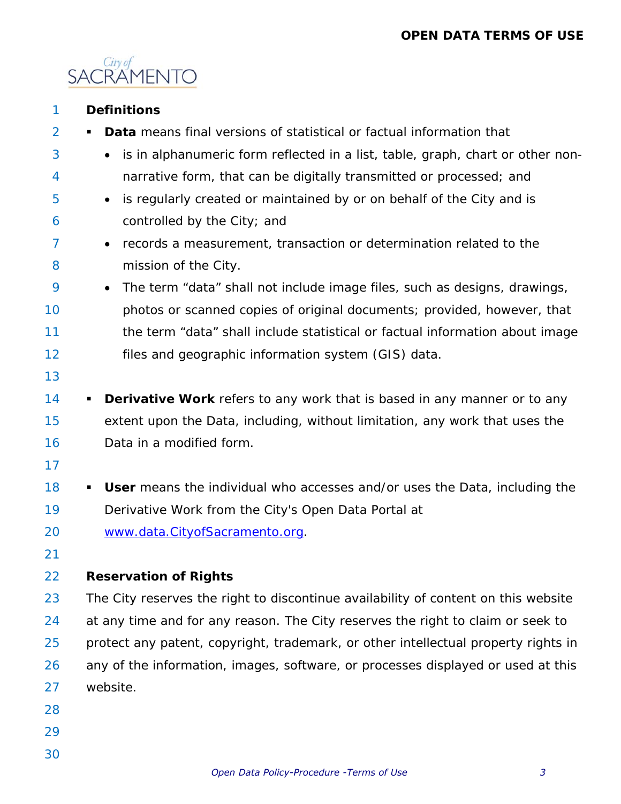

| 1              | <b>Definitions</b>                                                                     |
|----------------|----------------------------------------------------------------------------------------|
| $\overline{2}$ | <b>Data</b> means final versions of statistical or factual information that<br>٠       |
|                |                                                                                        |
| 3              | is in alphanumeric form reflected in a list, table, graph, chart or other non-         |
| 4              | narrative form, that can be digitally transmitted or processed; and                    |
| 5              | is regularly created or maintained by or on behalf of the City and is                  |
| 6              | controlled by the City; and                                                            |
| 7              | records a measurement, transaction or determination related to the<br>$\bullet$        |
| 8              | mission of the City.                                                                   |
| 9              | The term "data" shall not include image files, such as designs, drawings,<br>$\bullet$ |
| 10             | photos or scanned copies of original documents; provided, however, that                |
| 11             | the term "data" shall include statistical or factual information about image           |
| 12             | files and geographic information system (GIS) data.                                    |
| 13             |                                                                                        |
| 14             | <b>Derivative Work</b> refers to any work that is based in any manner or to any<br>п   |
| 15             | extent upon the Data, including, without limitation, any work that uses the            |
| 16             | Data in a modified form.                                                               |
| 17             |                                                                                        |
| 18             | User means the individual who accesses and/or uses the Data, including the<br>п        |
| 19             | Derivative Work from the City's Open Data Portal at                                    |
| 20             | www.data.CityofSacramento.org.                                                         |
| 21             |                                                                                        |
| 22             | <b>Reservation of Rights</b>                                                           |
| 23             | The City reserves the right to discontinue availability of content on this website     |
| 24             | at any time and for any reason. The City reserves the right to claim or seek to        |
| 25             | protect any patent, copyright, trademark, or other intellectual property rights in     |
| 26             | any of the information, images, software, or processes displayed or used at this       |
| 27             | website.                                                                               |
| 28             |                                                                                        |
| 29             |                                                                                        |
| 30             |                                                                                        |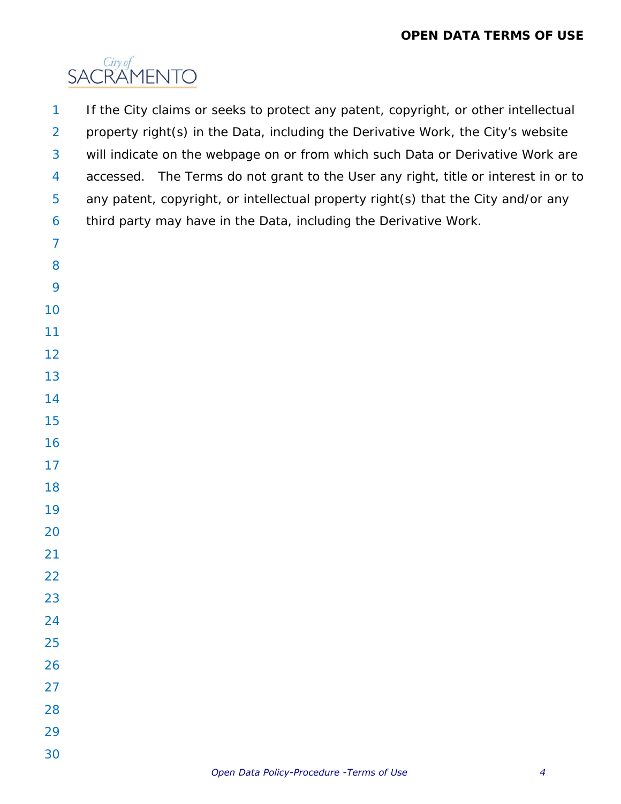

 If the City claims or seeks to protect any patent, copyright, or other intellectual property right(s) in the Data, including the Derivative Work, the City's website will indicate on the webpage on or from which such Data or Derivative Work are accessed. The Terms do not grant to the User any right, title or interest in or to any patent, copyright, or intellectual property right(s) that the City and/or any third party may have in the Data, including the Derivative Work.

- 
- 
- 
- 
- 
- 
- 
- 
- 
- 
- 
- 
- 
- 
- 
- 
- 
- 
- 
- 
- 
- 
- 
- 
- 
-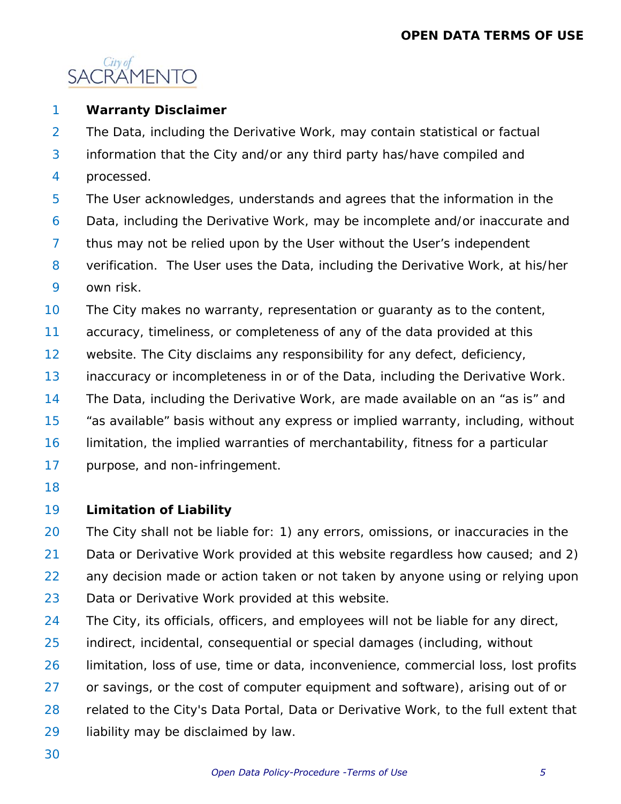

#### 1 **Warranty Disclaimer**

2 The Data, including the Derivative Work, may contain statistical or factual

- 3 information that the City and/or any third party has/have compiled and
- 4 processed.
- 5 The User acknowledges, understands and agrees that the information in the
- 6 Data, including the Derivative Work, may be incomplete and/or inaccurate and
- 7 thus may not be relied upon by the User without the User's independent
- 8 9 verification. The User uses the Data, including the Derivative Work, at his/her own risk.
- 10 The City makes no warranty, representation or guaranty as to the content,
- 11 accuracy, timeliness, or completeness of any of the data provided at this
- 12 website. The City disclaims any responsibility for any defect, deficiency,
- 13 inaccuracy or incompleteness in or of the Data, including the Derivative Work.
- 14 The Data, including the Derivative Work, are made available on an "as is" and
- 15 "as available" basis without any express or implied warranty, including, without
- 16 limitation, the implied warranties of merchantability, fitness for a particular
- 17 purpose, and non-infringement.
- 18

## 19 **Limitation of Liability**

20 21 22 23 The City shall not be liable for: 1) any errors, omissions, or inaccuracies in the Data or Derivative Work provided at this website regardless how caused; and 2) any decision made or action taken or not taken by anyone using or relying upon Data or Derivative Work provided at this website.

- 24 The City, its officials, officers, and employees will not be liable for any direct,
- 25 indirect, incidental, consequential or special damages (including, without
- 26 limitation, loss of use, time or data, inconvenience, commercial loss, lost profits
- 27 or savings, or the cost of computer equipment and software), arising out of or
- 28 related to the City's Data Portal, Data or Derivative Work, to the full extent that
- 29 liability may be disclaimed by law.
- 30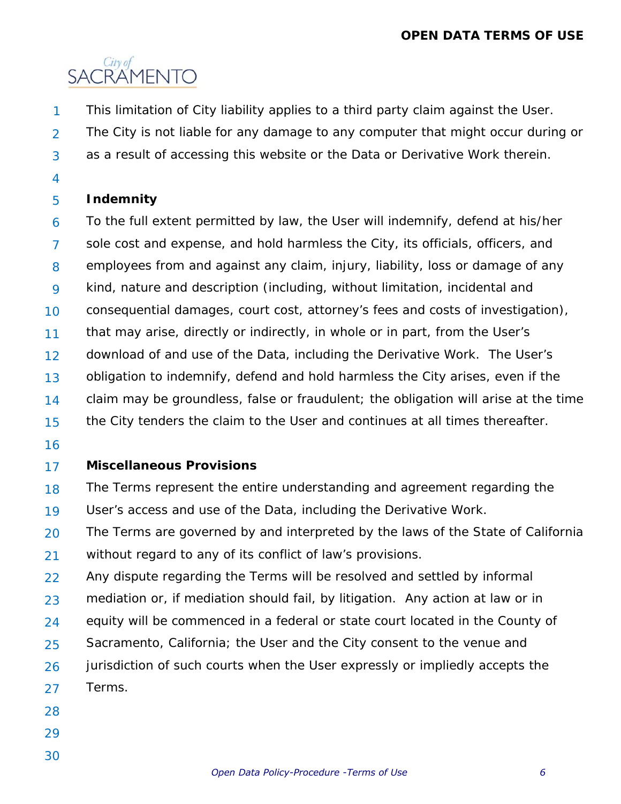# **OPEN DATA TERMS OF USE**



- This limitation of City liability applies to a third party claim against the User. 1
- 2 3 The City is not liable for any damage to any computer that might occur during or as a result of accessing this website or the Data or Derivative Work therein.
- 4

## 5 **Indemnity**

6 7 8 9 10 11 12 13 14 15 To the full extent permitted by law, the User will indemnify, defend at his/her sole cost and expense, and hold harmless the City, its officials, officers, and employees from and against any claim, injury, liability, loss or damage of any kind, nature and description (including, without limitation, incidental and consequential damages, court cost, attorney's fees and costs of investigation), that may arise, directly or indirectly, in whole or in part, from the User's download of and use of the Data, including the Derivative Work. The User's obligation to indemnify, defend and hold harmless the City arises, even if the claim may be groundless, false or fraudulent; the obligation will arise at the time the City tenders the claim to the User and continues at all times thereafter.

16

## 17 **Miscellaneous Provisions**

18 19 The Terms represent the entire understanding and agreement regarding the User's access and use of the Data, including the Derivative Work.

- 20 21 The Terms are governed by and interpreted by the laws of the State of California without regard to any of its conflict of law's provisions.
- 22 23 24 25 26 27 Any dispute regarding the Terms will be resolved and settled by informal mediation or, if mediation should fail, by litigation. Any action at law or in equity will be commenced in a federal or state court located in the County of Sacramento, California; the User and the City consent to the venue and jurisdiction of such courts when the User expressly or impliedly accepts the Terms.
- 28
- 29
- 30